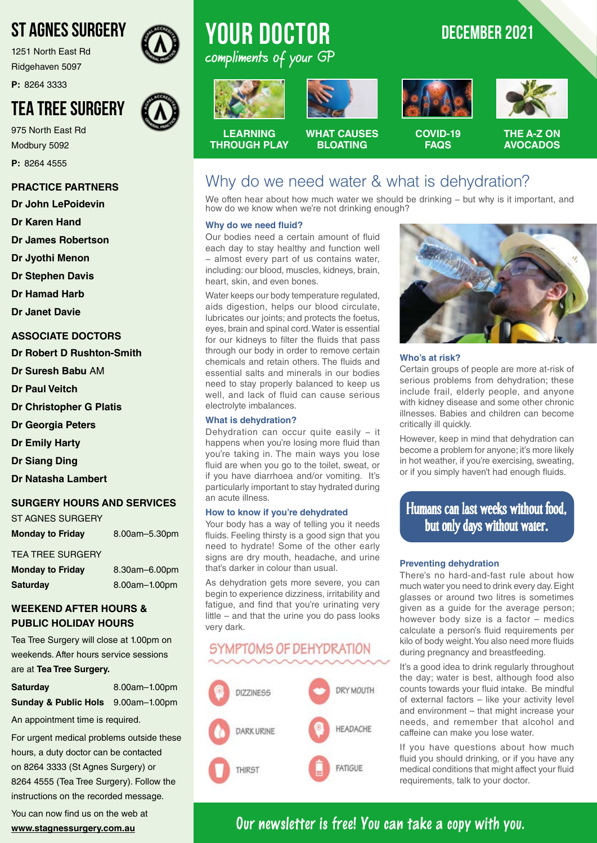# ST AGNES SURGERY

1251 North East Rd Ridgehaven 5097

**P:** 8264 3333

# TEA TREE SURGERY

975 North East Rd Modbury 5092 **P:** 8264 4555

#### **PRACTICE PARTNERS**

**Dr John LePoidevin**

**Dr Karen Hand**

**Dr James Robertson**

**Dr Jyothi Menon**

**Dr Stephen Davis**

**Dr Hamad Harb**

**Dr Janet Davie**

#### **ASSOCIATE DOCTORS**

**Dr Robert D Rushton-Smith** 

**Dr Suresh Babu** AM

**Dr Paul Veitch**

**Dr Christopher G Platis**

**Dr Georgia Peters**

**Dr Emily Harty**

**Dr Siang Ding**

**Dr Natasha Lambert**

#### **SURGERY HOURS AND SERVICES**

| ST AGNES SURGERY        |               |
|-------------------------|---------------|
| <b>Monday to Friday</b> | 8.00am-5.30pm |

#### TEA TREE SURGERY

| <b>Monday to Friday</b> | 8.30am-6.00pm |
|-------------------------|---------------|
| <b>Saturday</b>         | 8.00am-1.00pm |

#### **WEEKEND AFTER HOURS & PUBLIC HOLIDAY HOURS**

Tea Tree Surgery will close at 1.00pm on weekends. After hours service sessions are at **Tea Tree Surgery.**

| <b>Saturday</b>                               | 8.00am-1.00pm |
|-----------------------------------------------|---------------|
| <b>Sunday &amp; Public Hols</b> 9.00am-1.00pm |               |

An appointment time is required.

For urgent medical problems outside these hours, a duty doctor can be contacted on 8264 3333 (St Agnes Surgery) or 8264 4555 (Tea Tree Surgery). Follow the instructions on the recorded message.

You can now find us on the web at **www.stagnessurgery.com.au**

# **YOUR DOCTOR** DECEMBER 2021 compliments of your GP



**LEARNING THROUGH PLAY**





**COVID-19 FAQS**



**WHAT CAUSES BLOATING**

**THE A-Z ON AVOCADOS**

## Why do we need water & what is dehydration?

We often hear about how much water we should be drinking – but why is it important, and how do we know when we're not drinking enough?

#### **Why do we need fluid?**

Our bodies need a certain amount of fluid each day to stay healthy and function well − almost every part of us contains water, including: our blood, muscles, kidneys, brain, heart, skin, and even bones.

Water keeps our body temperature regulated, aids digestion, helps our blood circulate, lubricates our joints; and protects the foetus, eyes, brain and spinal cord. Water is essential for our kidneys to filter the fluids that pass through our body in order to remove certain chemicals and retain others. The fluids and essential salts and minerals in our bodies need to stay properly balanced to keep us well, and lack of fluid can cause serious electrolyte imbalances.

#### **What is dehydration?**

Dehydration can occur quite easily - it happens when you're losing more fluid than you're taking in. The main ways you lose fluid are when you go to the toilet, sweat, or if you have diarrhoea and/or vomiting. It's particularly important to stay hydrated during an acute illness.

#### **How to know if you're dehydrated**

Your body has a way of telling you it needs fluids. Feeling thirsty is a good sign that you need to hydrate! Some of the other early signs are dry mouth, headache, and urine that's darker in colour than usual.

As dehydration gets more severe, you can begin to experience dizziness, irritability and fatigue, and find that you're urinating very little – and that the urine you do pass looks very dark.

## SYMPTOMS OF DEHYDRATION





#### **Who's at risk?**

Certain groups of people are more at-risk of serious problems from dehydration; these include frail, elderly people, and anyone with kidney disease and some other chronic illnesses. Babies and children can become critically ill quickly.

However, keep in mind that dehydration can become a problem for anyone; it's more likely in hot weather, if you're exercising, sweating, or if you simply haven't had enough fluids.

### Humans can last weeks without food, but only days without water.

#### **Preventing dehydration**

There's no hard-and-fast rule about how much water you need to drink every day. Eight glasses or around two litres is sometimes given as a guide for the average person; however body size is a factor – medics calculate a person's fluid requirements per kilo of body weight. You also need more fluids during pregnancy and breastfeeding.

It's a good idea to drink regularly throughout the day; water is best, although food also counts towards your fluid intake. Be mindful of external factors – like your activity level and environment – that might increase your needs, and remember that alcohol and caffeine can make you lose water.

If you have questions about how much fluid you should drinking, or if you have any medical conditions that might affect your fluid requirements, talk to your doctor.

## **Our newsletter is free! You can take a copy with you.**

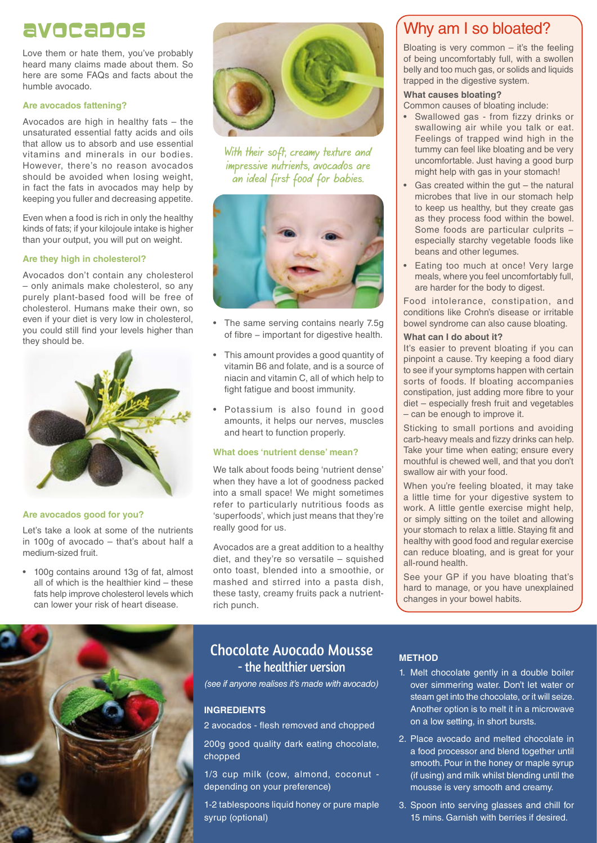# Avocados

Love them or hate them, you've probably heard many claims made about them. So here are some FAQs and facts about the humble avocado.

#### **Are avocados fattening?**

Avocados are high in healthy fats – the unsaturated essential fatty acids and oils that allow us to absorb and use essential vitamins and minerals in our bodies. However, there's no reason avocados should be avoided when losing weight, in fact the fats in avocados may help by keeping you fuller and decreasing appetite.

Even when a food is rich in only the healthy kinds of fats; if your kilojoule intake is higher than your output, you will put on weight.

#### **Are they high in cholesterol?**

Avocados don't contain any cholesterol – only animals make cholesterol, so any purely plant-based food will be free of cholesterol. Humans make their own, so even if your diet is very low in cholesterol, you could still find your levels higher than they should be.



#### **Are avocados good for you?**

Let's take a look at some of the nutrients in 100g of avocado – that's about half a medium-sized fruit.

• 100g contains around 13g of fat, almost all of which is the healthier kind – these fats help improve cholesterol levels which can lower your risk of heart disease.





With their soft, creamy texture and impressive nutrients, avocados are an ideal first food for babies.



- The same serving contains nearly 7.5g of fibre − important for digestive health.
- This amount provides a good quantity of vitamin B6 and folate, and is a source of niacin and vitamin C, all of which help to fight fatigue and boost immunity.
- Potassium is also found in good amounts, it helps our nerves, muscles and heart to function properly.

#### **What does 'nutrient dense' mean?**

We talk about foods being 'nutrient dense' when they have a lot of goodness packed into a small space! We might sometimes refer to particularly nutritious foods as 'superfoods', which just means that they're really good for us.

Avocados are a great addition to a healthy diet, and they're so versatile – squished onto toast, blended into a smoothie, or mashed and stirred into a pasta dish, these tasty, creamy fruits pack a nutrientrich punch.

### Chocolate Avocado Mousse - the healthier version

*(see if anyone realises it's made with avocado)*

#### **INGREDIENTS**

2 avocados - flesh removed and chopped

200g good quality dark eating chocolate, chopped

1/3 cup milk (cow, almond, coconut depending on your preference)

1-2 tablespoons liquid honey or pure maple syrup (optional)

### Why am I so bloated?

Bloating is very common  $-$  it's the feeling of being uncomfortably full, with a swollen belly and too much gas, or solids and liquids trapped in the digestive system.

#### **What causes bloating?**

Common causes of bloating include:

- Swallowed gas from fizzy drinks or swallowing air while you talk or eat. Feelings of trapped wind high in the tummy can feel like bloating and be very uncomfortable. Just having a good burp might help with gas in your stomach!
- Gas created within the gut  $-$  the natural microbes that live in our stomach help to keep us healthy, but they create gas as they process food within the bowel. Some foods are particular culprits − especially starchy vegetable foods like beans and other legumes.
- Eating too much at once! Very large meals, where you feel uncomfortably full, are harder for the body to digest.

Food intolerance, constipation, and conditions like Crohn's disease or irritable bowel syndrome can also cause bloating.

#### **What can I do about it?**

It's easier to prevent bloating if you can pinpoint a cause. Try keeping a food diary to see if your symptoms happen with certain sorts of foods. If bloating accompanies constipation, just adding more fibre to your diet – especially fresh fruit and vegetables – can be enough to improve it.

Sticking to small portions and avoiding carb-heavy meals and fizzy drinks can help. Take your time when eating; ensure every mouthful is chewed well, and that you don't swallow air with your food.

When you're feeling bloated, it may take a little time for your digestive system to work. A little gentle exercise might help, or simply sitting on the toilet and allowing your stomach to relax a little. Staying fit and healthy with good food and regular exercise can reduce bloating, and is great for your all-round health.

See your GP if you have bloating that's hard to manage, or you have unexplained changes in your bowel habits.

#### **METHOD**

- 1. Melt chocolate gently in a double boiler over simmering water. Don't let water or steam get into the chocolate, or it will seize. Another option is to melt it in a microwave on a low setting, in short bursts.
- 2. Place avocado and melted chocolate in a food processor and blend together until smooth. Pour in the honey or maple syrup (if using) and milk whilst blending until the mousse is very smooth and creamy.
- 3. Spoon into serving glasses and chill for 15 mins. Garnish with berries if desired.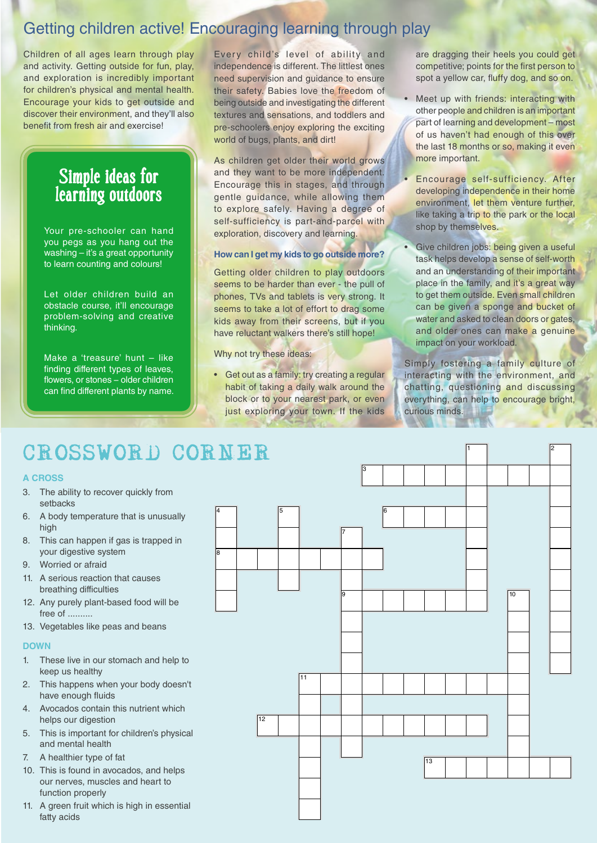# Getting children active! Encouraging learning through play

Children of all ages learn through play and activity. Getting outside for fun, play, and exploration is incredibly important for children's physical and mental health. Encourage your kids to get outside and discover their environment, and they'll also benefit from fresh air and exercise!

# Simple ideas for learning outdoors

Your pre-schooler can hand you pegs as you hang out the washing – it's a great opportunity to learn counting and colours!

Let older children build an obstacle course, it'll encourage problem-solving and creative thinking.

Make a 'treasure' hunt – like finding different types of leaves, flowers, or stones – older children can find different plants by name.

Every child's level of ability and independence is different. The littlest ones need supervision and guidance to ensure their safety. Babies love the freedom of being outside and investigating the different textures and sensations, and toddlers and pre-schoolers enjoy exploring the exciting world of bugs, plants, and dirt!

As children get older their world grows and they want to be more independent. Encourage this in stages, and through gentle guidance, while allowing them to explore safely. Having a degree of self-sufficiency is part-and-parcel with exploration, discovery and learning.

#### **How can I get my kids to go outside more?**

Getting older children to play outdoors seems to be harder than ever - the pull of phones, TVs and tablets is very strong. It seems to take a lot of effort to drag some kids away from their screens, but if you have reluctant walkers there's still hope!

Why not try these ideas:

• Get out as a family: try creating a regular habit of taking a daily walk around the block or to your nearest park, or even just exploring your town. If the kids

are dragging their heels you could get competitive; points for the first person to spot a yellow car, fluffy dog, and so on.

- Meet up with friends: interacting with other people and children is an important part of learning and development – most of us haven't had enough of this over the last 18 months or so, making it even more important.
- Encourage self-sufficiency. After developing independence in their home environment, let them venture further, like taking a trip to the park or the local shop by themselves.
- Give children jobs: being given a useful task helps develop a sense of self-worth and an understanding of their important place in the family, and it's a great way to get them outside. Even small children can be given a sponge and bucket of water and asked to clean doors or gates, and older ones can make a genuine impact on your workload.

Simply fostering a family culture of interacting with the environment, and chatting, questioning and discussing everything, can help to encourage bright, curious minds.

1 2

# CROSSWORD CORNER

#### **A CROSS**

- 3. The ability to recover quickly from setbacks
- 6. A body temperature that is unusually high
- 8. This can happen if gas is trapped in your digestive system
- 9. Worried or afraid
- 11. A serious reaction that causes breathing difficulties
- 12. Any purely plant-based food will be free of ..........
- 13. Vegetables like peas and beans

#### **DOWN**

- 1. These live in our stomach and help to keep us healthy
- 2. This happens when your body doesn't have enough fluids
- 4. Avocados contain this nutrient which helps our digestion
- 5. This is important for children's physical and mental health
- 7. A healthier type of fat
- 10. This is found in avocados, and helps our nerves, muscles and heart to function properly
- 11. A green fruit which is high in essential fatty acids